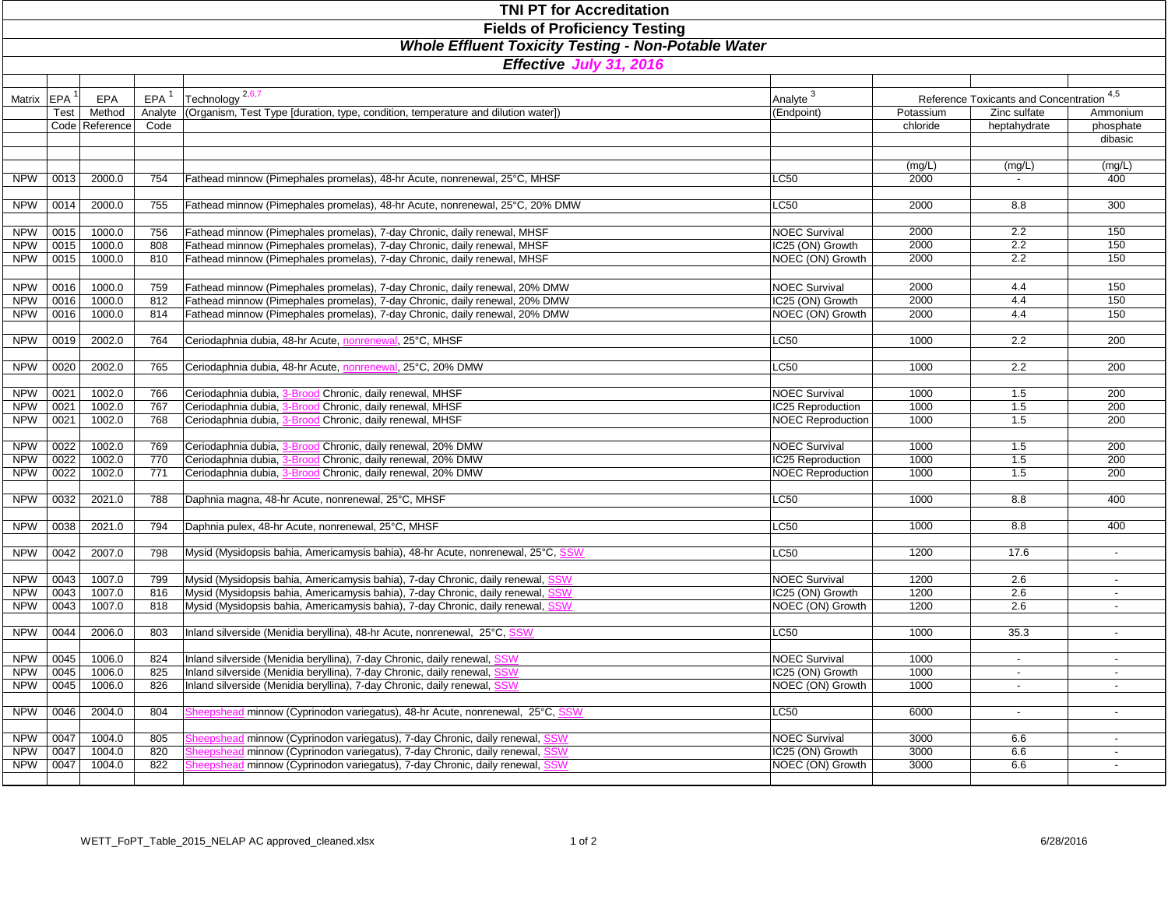| <b>TNI PT for Accreditation</b>                                                                                                      |              |                  |            |                                                                                                                                                                    |                                          |              |                          |                  |  |  |                   |  |     |                    |                             |                      |  |                                       |     |
|--------------------------------------------------------------------------------------------------------------------------------------|--------------|------------------|------------|--------------------------------------------------------------------------------------------------------------------------------------------------------------------|------------------------------------------|--------------|--------------------------|------------------|--|--|-------------------|--|-----|--------------------|-----------------------------|----------------------|--|---------------------------------------|-----|
| <b>Fields of Proficiency Testing</b><br><b>Whole Effluent Toxicity Testing - Non-Potable Water</b><br><b>Effective July 31, 2016</b> |              |                  |            |                                                                                                                                                                    |                                          |              |                          |                  |  |  |                   |  |     |                    |                             |                      |  |                                       |     |
|                                                                                                                                      |              |                  |            |                                                                                                                                                                    |                                          |              |                          |                  |  |  |                   |  |     |                    |                             |                      |  |                                       |     |
|                                                                                                                                      |              |                  |            |                                                                                                                                                                    |                                          |              |                          |                  |  |  | Matrix <b>EPA</b> |  | EPA | $EPA$ <sup>1</sup> | Technology <sup>2,6,7</sup> | Analyte <sup>3</sup> |  | Reference Toxicants and Concentration | 4,5 |
|                                                                                                                                      | <b>Test</b>  | Method           | Analyte    | (Organism, Test Type [duration, type, condition, temperature and dilution water])                                                                                  | (Endpoint)                               | Potassium    | Zinc sulfate             | Ammonium         |  |  |                   |  |     |                    |                             |                      |  |                                       |     |
|                                                                                                                                      |              | Code   Reference | Code       |                                                                                                                                                                    |                                          | chloride     | heptahydrate             | phosphate        |  |  |                   |  |     |                    |                             |                      |  |                                       |     |
|                                                                                                                                      |              |                  |            |                                                                                                                                                                    |                                          |              |                          | dibasic          |  |  |                   |  |     |                    |                             |                      |  |                                       |     |
|                                                                                                                                      |              |                  |            |                                                                                                                                                                    |                                          |              |                          |                  |  |  |                   |  |     |                    |                             |                      |  |                                       |     |
|                                                                                                                                      |              |                  |            |                                                                                                                                                                    |                                          | (mg/L)       | (mg/L)                   | (mg/L)           |  |  |                   |  |     |                    |                             |                      |  |                                       |     |
| <b>NPW</b>                                                                                                                           | 0013         | 2000.0           | 754        | Fathead minnow (Pimephales promelas), 48-hr Acute, nonrenewal, 25°C, MHSF                                                                                          | <b>LC50</b>                              | 2000         |                          | 400              |  |  |                   |  |     |                    |                             |                      |  |                                       |     |
| <b>NPW</b>                                                                                                                           | 0014         | 2000.0           | 755        | Fathead minnow (Pimephales promelas), 48-hr Acute, nonrenewal, 25°C, 20% DMW                                                                                       | <b>LC50</b>                              | 2000         | 8.8                      | 300              |  |  |                   |  |     |                    |                             |                      |  |                                       |     |
|                                                                                                                                      |              |                  |            |                                                                                                                                                                    |                                          |              |                          |                  |  |  |                   |  |     |                    |                             |                      |  |                                       |     |
| <b>NPW</b>                                                                                                                           | 0015         | 1000.0           | 756        | Fathead minnow (Pimephales promelas), 7-day Chronic, daily renewal, MHSF                                                                                           | <b>NOEC Survival</b>                     | 2000         | 2.2                      | 150              |  |  |                   |  |     |                    |                             |                      |  |                                       |     |
| <b>NPW</b>                                                                                                                           | 0015         | 1000.0           | 808        | Fathead minnow (Pimephales promelas), 7-day Chronic, daily renewal, MHSF                                                                                           | IC25 (ON) Growth                         | 2000         | 2.2                      | 150              |  |  |                   |  |     |                    |                             |                      |  |                                       |     |
| <b>NPW</b>                                                                                                                           | 0015         | 1000.0           | 810        | Fathead minnow (Pimephales promelas), 7-day Chronic, daily renewal, MHSF                                                                                           | NOEC (ON) Growth                         | 2000         | $\overline{2.2}$         | 150              |  |  |                   |  |     |                    |                             |                      |  |                                       |     |
|                                                                                                                                      |              |                  |            |                                                                                                                                                                    |                                          |              |                          |                  |  |  |                   |  |     |                    |                             |                      |  |                                       |     |
| <b>NPW</b><br><b>NPW</b>                                                                                                             | 0016<br>0016 | 1000.0<br>1000.0 | 759<br>812 | Fathead minnow (Pimephales promelas), 7-day Chronic, daily renewal, 20% DMW<br>Fathead minnow (Pimephales promelas), 7-day Chronic, daily renewal, 20% DMW         | <b>NOEC Survival</b><br>IC25 (ON) Growth | 2000<br>2000 | 4.4<br>4.4               | 150<br>150       |  |  |                   |  |     |                    |                             |                      |  |                                       |     |
| <b>NPW</b>                                                                                                                           | 0016         | 1000.0           | 814        | Fathead minnow (Pimephales promelas), 7-day Chronic, daily renewal, 20% DMW                                                                                        | NOEC (ON) Growth                         | 2000         | 4.4                      | 150              |  |  |                   |  |     |                    |                             |                      |  |                                       |     |
|                                                                                                                                      |              |                  |            |                                                                                                                                                                    |                                          |              |                          |                  |  |  |                   |  |     |                    |                             |                      |  |                                       |     |
| <b>NPW</b>                                                                                                                           | 0019         | 2002.0           | 764        | Ceriodaphnia dubia, 48-hr Acute, nonrenewal, 25°C, MHSF                                                                                                            | <b>LC50</b>                              | 1000         | 2.2                      | 200              |  |  |                   |  |     |                    |                             |                      |  |                                       |     |
|                                                                                                                                      |              |                  |            |                                                                                                                                                                    |                                          |              |                          |                  |  |  |                   |  |     |                    |                             |                      |  |                                       |     |
| <b>NPW</b>                                                                                                                           | 0020         | 2002.0           | 765        | Ceriodaphnia dubia, 48-hr Acute, nonrenewal, 25°C, 20% DMW                                                                                                         | <b>LC50</b>                              | 1000         | 2.2                      | 200              |  |  |                   |  |     |                    |                             |                      |  |                                       |     |
|                                                                                                                                      |              |                  |            | Ceriodaphnia dubia,<br>Chronic, daily renewal, MHSF                                                                                                                | <b>NOEC Survival</b>                     | 1000         | 1.5                      | 200              |  |  |                   |  |     |                    |                             |                      |  |                                       |     |
| <b>NPW</b><br><b>NPW</b>                                                                                                             | 0021<br>0021 | 1002.0<br>1002.0 | 766<br>767 | Ceriodaphnia dubia,<br>Chronic, daily renewal, MHSF                                                                                                                | IC25 Reproduction                        | 1000         | 1.5                      | 200              |  |  |                   |  |     |                    |                             |                      |  |                                       |     |
| <b>NPW</b>                                                                                                                           | 0021         | 1002.0           | 768        | Chronic, daily renewal, MHSF<br>Ceriodaphnia dubia,                                                                                                                | <b>NOEC Reproduction</b>                 | 1000         | 1.5                      | 200              |  |  |                   |  |     |                    |                             |                      |  |                                       |     |
|                                                                                                                                      |              |                  |            |                                                                                                                                                                    |                                          |              |                          |                  |  |  |                   |  |     |                    |                             |                      |  |                                       |     |
| <b>NPW</b>                                                                                                                           | 0022         | 1002.0           | 769        | Ceriodaphnia dubia,<br>Chronic, daily renewal, 20% DMW                                                                                                             | <b>NOEC Survival</b>                     | 1000         | 1.5                      | 200              |  |  |                   |  |     |                    |                             |                      |  |                                       |     |
| <b>NPW</b>                                                                                                                           | 0022         | 1002.0           | 770        | Ceriodaphnia dubia,<br>Chronic, daily renewal, 20% DMW                                                                                                             | IC25 Reproduction                        | 1000         | 1.5                      | 200              |  |  |                   |  |     |                    |                             |                      |  |                                       |     |
| <b>NPW</b>                                                                                                                           | 0022         | 1002.0           | 771        | Ceriodaphnia dubia,<br>Chronic, daily renewal, 20% DMW                                                                                                             | <b>NOEC Reproduction</b>                 | 1000         | 1.5                      | 200              |  |  |                   |  |     |                    |                             |                      |  |                                       |     |
| <b>NPW</b>                                                                                                                           | 0032         | 2021.0           | 788        | Daphnia magna, 48-hr Acute, nonrenewal, 25°C, MHSF                                                                                                                 | <b>LC50</b>                              | 1000         | 8.8                      | 400              |  |  |                   |  |     |                    |                             |                      |  |                                       |     |
|                                                                                                                                      |              |                  |            |                                                                                                                                                                    |                                          |              |                          |                  |  |  |                   |  |     |                    |                             |                      |  |                                       |     |
| <b>NPW</b>                                                                                                                           | 0038         | 2021.0           | 794        | Daphnia pulex, 48-hr Acute, nonrenewal, 25°C, MHSF                                                                                                                 | <b>LC50</b>                              | 1000         | 8.8                      | 400              |  |  |                   |  |     |                    |                             |                      |  |                                       |     |
|                                                                                                                                      |              |                  |            |                                                                                                                                                                    |                                          |              |                          |                  |  |  |                   |  |     |                    |                             |                      |  |                                       |     |
| <b>NPW</b>                                                                                                                           | 0042         | 2007.0           | 798        | Mysid (Mysidopsis bahia, Americamysis bahia), 48-hr Acute, nonrenewal, 25°C, SSW                                                                                   | <b>LC50</b>                              | 1200         | 17.6                     | $\sim$           |  |  |                   |  |     |                    |                             |                      |  |                                       |     |
|                                                                                                                                      |              |                  |            |                                                                                                                                                                    |                                          |              |                          |                  |  |  |                   |  |     |                    |                             |                      |  |                                       |     |
| <b>NPW</b><br><b>NPW</b>                                                                                                             | 0043<br>0043 | 1007.0<br>1007.0 | 799<br>816 | Mysid (Mysidopsis bahia, Americamysis bahia), 7-day Chronic, daily renewal, SSW<br>Mysid (Mysidopsis bahia, Americamysis bahia), 7-day Chronic, daily renewal, SSW | <b>NOEC Survival</b><br>IC25 (ON) Growth | 1200<br>1200 | 2.6<br>2.6               | $\sim$<br>$\sim$ |  |  |                   |  |     |                    |                             |                      |  |                                       |     |
| <b>NPW</b>                                                                                                                           | 0043         | 1007.0           | 818        | Mysid (Mysidopsis bahia, Americamysis bahia), 7-day Chronic, daily renewal, SSW                                                                                    | NOEC (ON) Growth                         | 1200         | 2.6                      |                  |  |  |                   |  |     |                    |                             |                      |  |                                       |     |
|                                                                                                                                      |              |                  |            |                                                                                                                                                                    |                                          |              |                          |                  |  |  |                   |  |     |                    |                             |                      |  |                                       |     |
| <b>NPW</b>                                                                                                                           | 0044         | 2006.0           | 803        | Inland silverside (Menidia beryllina), 48-hr Acute, nonrenewal, 25°C, SSW                                                                                          | <b>LC50</b>                              | 1000         | 35.3                     |                  |  |  |                   |  |     |                    |                             |                      |  |                                       |     |
|                                                                                                                                      |              |                  |            |                                                                                                                                                                    |                                          |              |                          |                  |  |  |                   |  |     |                    |                             |                      |  |                                       |     |
| <b>NPW</b>                                                                                                                           | 0045         | 1006.0           | 824        | Inland silverside (Menidia beryllina), 7-day Chronic, daily renewal, SSW                                                                                           | <b>NOEC Survival</b>                     | 1000         | $\overline{\phantom{a}}$ |                  |  |  |                   |  |     |                    |                             |                      |  |                                       |     |
| <b>NPW</b>                                                                                                                           | 0045         | 1006.0           | 825        | Inland silverside (Menidia beryllina), 7-day Chronic, daily renewal, SSW                                                                                           | IC25 (ON) Growth                         | 1000         |                          |                  |  |  |                   |  |     |                    |                             |                      |  |                                       |     |
| <b>NPW</b>                                                                                                                           | 0045         | 1006.0           | 826        | Inland silverside (Menidia beryllina), 7-day Chronic, daily renewal, SSW                                                                                           | NOEC (ON) Growth                         | 1000         | $\overline{\phantom{a}}$ |                  |  |  |                   |  |     |                    |                             |                      |  |                                       |     |
| <b>NPW</b>                                                                                                                           | 0046         | 2004.0           | 804        | Sheepshead minnow (Cyprinodon variegatus), 48-hr Acute, nonrenewal, 25°C, SSW                                                                                      | <b>LC50</b>                              | 6000         | $\sim$                   |                  |  |  |                   |  |     |                    |                             |                      |  |                                       |     |
|                                                                                                                                      |              |                  |            |                                                                                                                                                                    |                                          |              |                          |                  |  |  |                   |  |     |                    |                             |                      |  |                                       |     |
| <b>NPW</b>                                                                                                                           | 0047         | 1004.0           | 805        | I minnow (Cyprinodon variegatus), 7-day Chronic, daily renewal, SSW<br>Sheepshea                                                                                   | <b>NOEC Survival</b>                     | 3000         | 6.6                      | $\sim$           |  |  |                   |  |     |                    |                             |                      |  |                                       |     |
| <b>NPW</b>                                                                                                                           | 0047         | 1004.0           | 820        | minnow (Cyprinodon variegatus), 7-day Chronic, daily renewal, SSW                                                                                                  | IC25 (ON) Growth                         | 3000         | 6.6                      |                  |  |  |                   |  |     |                    |                             |                      |  |                                       |     |
| <b>NPW</b>                                                                                                                           | 0047         | 1004.0           | 822        | minnow (Cyprinodon variegatus), 7-day Chronic, daily renewal,                                                                                                      | NOEC (ON) Growth                         | 3000         | 6.6                      |                  |  |  |                   |  |     |                    |                             |                      |  |                                       |     |
|                                                                                                                                      |              |                  |            |                                                                                                                                                                    |                                          |              |                          |                  |  |  |                   |  |     |                    |                             |                      |  |                                       |     |